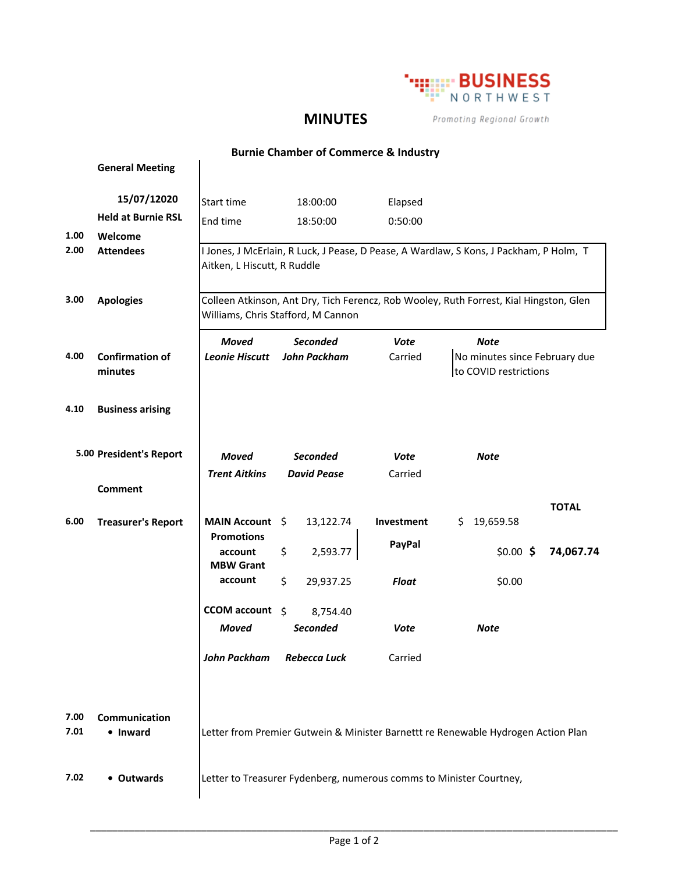

## **MINUTES**

Promoting Regional Growth

|              | <b>Burnie Chamber of Commerce &amp; Industry</b> |                                                                                                                              |                                        |                        |                                                                                        |              |  |  |
|--------------|--------------------------------------------------|------------------------------------------------------------------------------------------------------------------------------|----------------------------------------|------------------------|----------------------------------------------------------------------------------------|--------------|--|--|
|              | <b>General Meeting</b>                           |                                                                                                                              |                                        |                        |                                                                                        |              |  |  |
|              | 15/07/12020                                      | Start time                                                                                                                   | 18:00:00                               | Elapsed                |                                                                                        |              |  |  |
|              | <b>Held at Burnie RSL</b>                        | End time                                                                                                                     | 18:50:00                               | 0:50:00                |                                                                                        |              |  |  |
| 1.00         | Welcome                                          |                                                                                                                              |                                        |                        |                                                                                        |              |  |  |
| 2.00         | <b>Attendees</b>                                 | Aitken, L Hiscutt, R Ruddle                                                                                                  |                                        |                        | I Jones, J McErlain, R Luck, J Pease, D Pease, A Wardlaw, S Kons, J Packham, P Holm, T |              |  |  |
| 3.00         | <b>Apologies</b>                                 | Colleen Atkinson, Ant Dry, Tich Ferencz, Rob Wooley, Ruth Forrest, Kial Hingston, Glen<br>Williams, Chris Stafford, M Cannon |                                        |                        |                                                                                        |              |  |  |
| 4.00         | <b>Confirmation of</b><br>minutes                | <b>Moved</b><br><b>Leonie Hiscutt</b>                                                                                        | <b>Seconded</b><br><b>John Packham</b> | <b>Vote</b><br>Carried | <b>Note</b><br>No minutes since February due<br>to COVID restrictions                  |              |  |  |
| 4.10         | <b>Business arising</b>                          |                                                                                                                              |                                        |                        |                                                                                        |              |  |  |
|              | 5.00 President's Report                          | <b>Moved</b>                                                                                                                 | <b>Seconded</b>                        | Vote                   | <b>Note</b>                                                                            |              |  |  |
|              | <b>Comment</b>                                   | <b>Trent Aitkins</b>                                                                                                         | <b>David Pease</b>                     | Carried                |                                                                                        |              |  |  |
| 6.00         | <b>Treasurer's Report</b>                        | MAIN Account \$                                                                                                              | 13,122.74                              | Investment             | 19,659.58<br>\$.                                                                       | <b>TOTAL</b> |  |  |
|              |                                                  | <b>Promotions</b>                                                                                                            |                                        | PayPal                 |                                                                                        |              |  |  |
|              |                                                  | account<br><b>MBW Grant</b>                                                                                                  | 2,593.77<br>\$                         |                        | $$0.00$ \$                                                                             | 74,067.74    |  |  |
|              |                                                  | account                                                                                                                      | \$<br>29,937.25                        | <b>Float</b>           | \$0.00                                                                                 |              |  |  |
|              |                                                  | CCOM account \$                                                                                                              | 8,754.40                               |                        |                                                                                        |              |  |  |
|              |                                                  | <b>Moved</b>                                                                                                                 | <b>Seconded</b>                        | Vote                   | <b>Note</b>                                                                            |              |  |  |
|              |                                                  | <b>John Packham</b>                                                                                                          | <b>Rebecca Luck</b>                    | Carried                |                                                                                        |              |  |  |
| 7.00<br>7.01 | <b>Communication</b><br>• Inward                 | Letter from Premier Gutwein & Minister Barnettt re Renewable Hydrogen Action Plan                                            |                                        |                        |                                                                                        |              |  |  |
| 7.02         | • Outwards                                       | Letter to Treasurer Fydenberg, numerous comms to Minister Courtney,                                                          |                                        |                        |                                                                                        |              |  |  |